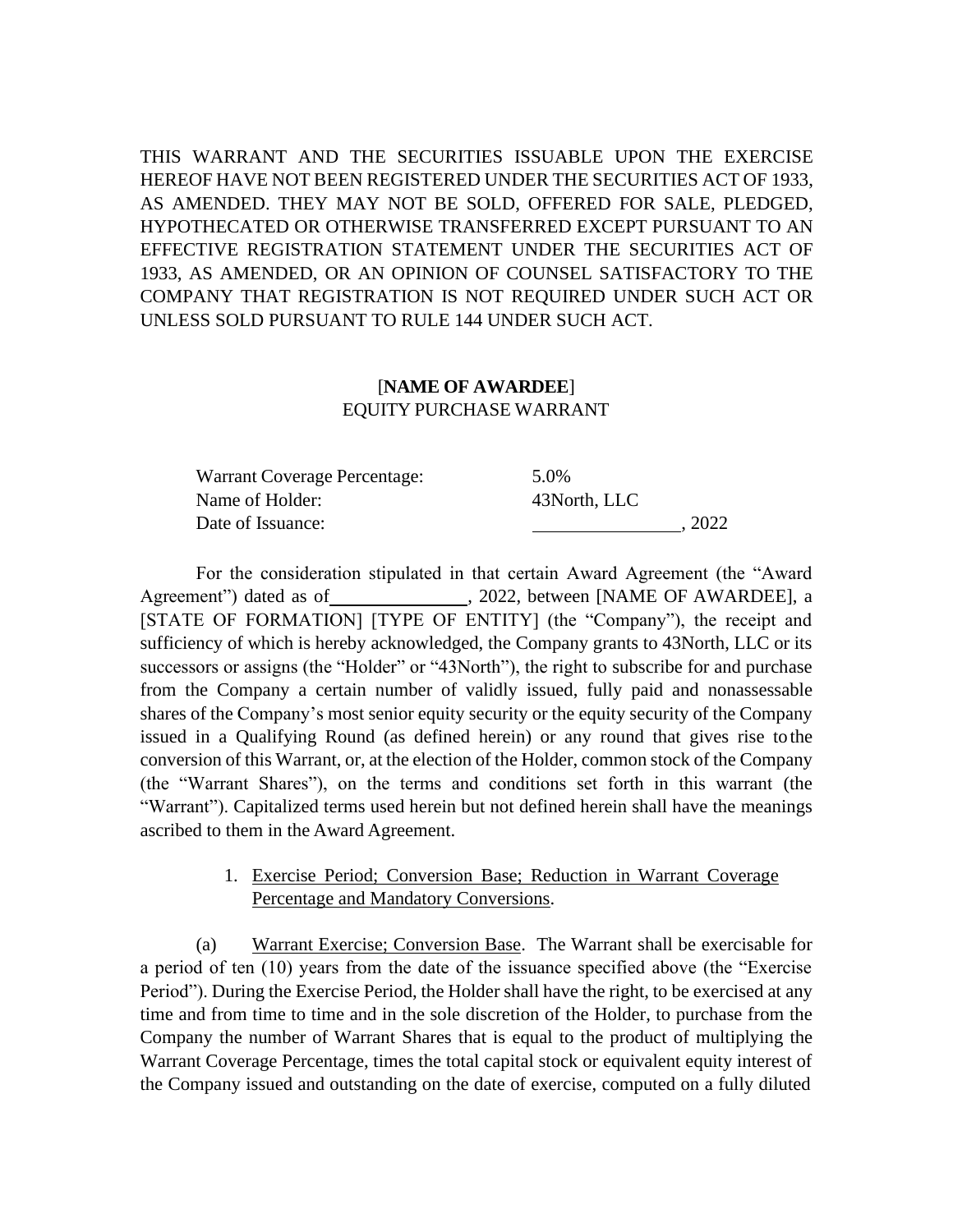THIS WARRANT AND THE SECURITIES ISSUABLE UPON THE EXERCISE HEREOF HAVE NOT BEEN REGISTERED UNDER THE SECURITIES ACT OF 1933, AS AMENDED. THEY MAY NOT BE SOLD, OFFERED FOR SALE, PLEDGED, HYPOTHECATED OR OTHERWISE TRANSFERRED EXCEPT PURSUANT TO AN EFFECTIVE REGISTRATION STATEMENT UNDER THE SECURITIES ACT OF 1933, AS AMENDED, OR AN OPINION OF COUNSEL SATISFACTORY TO THE COMPANY THAT REGISTRATION IS NOT REQUIRED UNDER SUCH ACT OR UNLESS SOLD PURSUANT TO RULE 144 UNDER SUCH ACT.

## [**NAME OF AWARDEE**] EQUITY PURCHASE WARRANT

| Warrant Coverage Percentage: | 5.0%         |
|------------------------------|--------------|
| Name of Holder:              | 43North, LLC |
| Date of Issuance:            | . 2022       |

For the consideration stipulated in that certain Award Agreement (the "Award Agreement") dated as of  $\qquad \qquad .$  2022, between [NAME OF AWARDEE], a [STATE OF FORMATION] [TYPE OF ENTITY] (the "Company"), the receipt and sufficiency of which is hereby acknowledged, the Company grants to 43North, LLC or its successors or assigns (the "Holder" or "43North"), the right to subscribe for and purchase from the Company a certain number of validly issued, fully paid and nonassessable shares of the Company's most senior equity security or the equity security of the Company issued in a Qualifying Round (as defined herein) or any round that gives rise tothe conversion of this Warrant, or, at the election of the Holder, common stock of the Company (the "Warrant Shares"), on the terms and conditions set forth in this warrant (the "Warrant"). Capitalized terms used herein but not defined herein shall have the meanings ascribed to them in the Award Agreement.

## 1. Exercise Period; Conversion Base; Reduction in Warrant Coverage Percentage and Mandatory Conversions.

(a) Warrant Exercise; Conversion Base. The Warrant shall be exercisable for a period of ten (10) years from the date of the issuance specified above (the "Exercise Period"). During the Exercise Period, the Holder shall have the right, to be exercised at any time and from time to time and in the sole discretion of the Holder, to purchase from the Company the number of Warrant Shares that is equal to the product of multiplying the Warrant Coverage Percentage, times the total capital stock or equivalent equity interest of the Company issued and outstanding on the date of exercise, computed on a fully diluted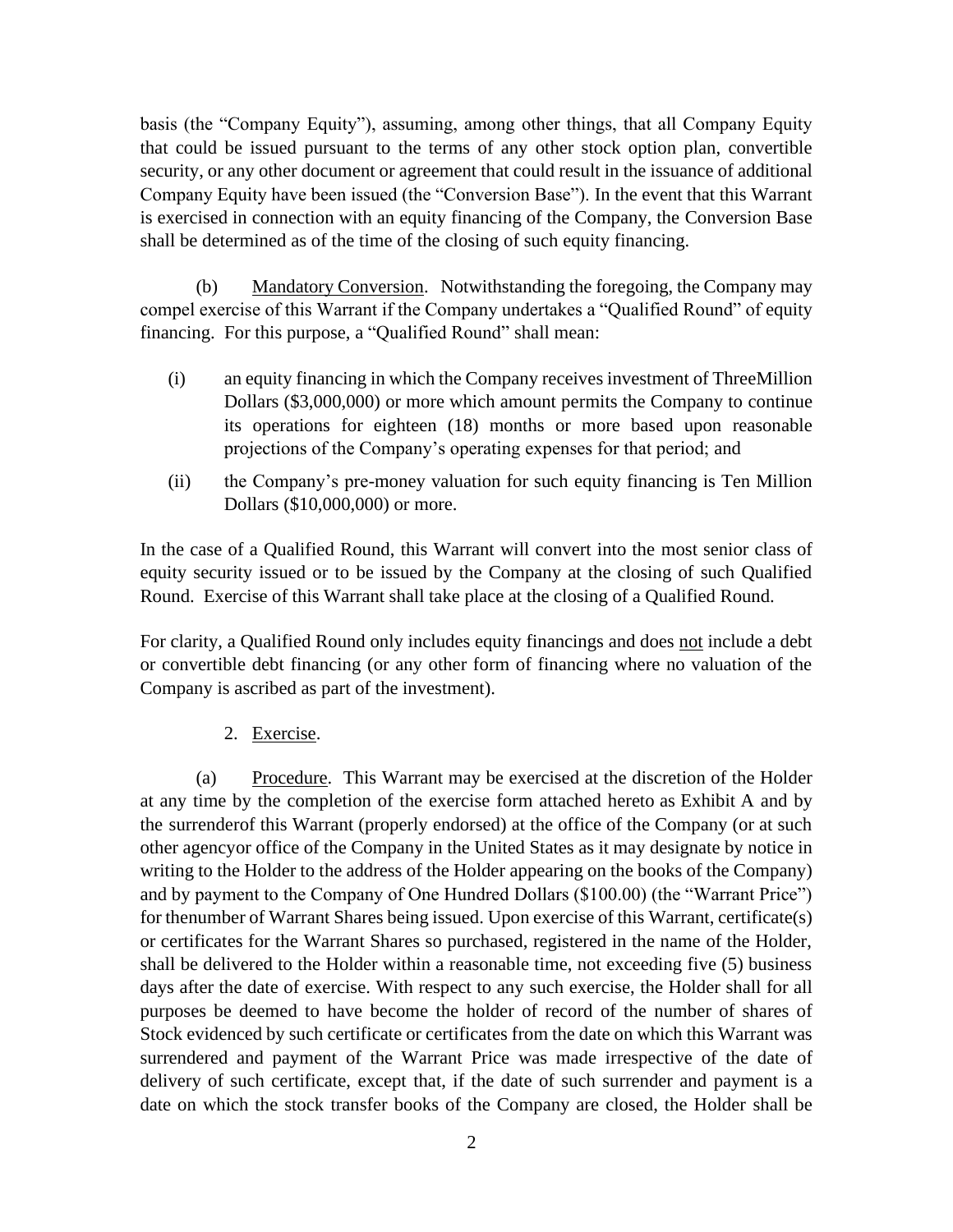basis (the "Company Equity"), assuming, among other things, that all Company Equity that could be issued pursuant to the terms of any other stock option plan, convertible security, or any other document or agreement that could result in the issuance of additional Company Equity have been issued (the "Conversion Base"). In the event that this Warrant is exercised in connection with an equity financing of the Company, the Conversion Base shall be determined as of the time of the closing of such equity financing.

(b) Mandatory Conversion. Notwithstanding the foregoing, the Company may compel exercise of this Warrant if the Company undertakes a "Qualified Round" of equity financing. For this purpose, a "Qualified Round" shall mean:

- (i) an equity financing in which the Company receives investment of ThreeMillion Dollars (\$3,000,000) or more which amount permits the Company to continue its operations for eighteen (18) months or more based upon reasonable projections of the Company's operating expenses for that period; and
- (ii) the Company's pre-money valuation for such equity financing is Ten Million Dollars (\$10,000,000) or more.

In the case of a Qualified Round, this Warrant will convert into the most senior class of equity security issued or to be issued by the Company at the closing of such Qualified Round. Exercise of this Warrant shall take place at the closing of a Qualified Round.

For clarity, a Qualified Round only includes equity financings and does not include a debt or convertible debt financing (or any other form of financing where no valuation of the Company is ascribed as part of the investment).

## 2. Exercise.

(a) Procedure. This Warrant may be exercised at the discretion of the Holder at any time by the completion of the exercise form attached hereto as Exhibit A and by the surrenderof this Warrant (properly endorsed) at the office of the Company (or at such other agencyor office of the Company in the United States as it may designate by notice in writing to the Holder to the address of the Holder appearing on the books of the Company) and by payment to the Company of One Hundred Dollars (\$100.00) (the "Warrant Price") for thenumber of Warrant Shares being issued. Upon exercise of this Warrant, certificate(s) or certificates for the Warrant Shares so purchased, registered in the name of the Holder, shall be delivered to the Holder within a reasonable time, not exceeding five (5) business days after the date of exercise. With respect to any such exercise, the Holder shall for all purposes be deemed to have become the holder of record of the number of shares of Stock evidenced by such certificate or certificates from the date on which this Warrant was surrendered and payment of the Warrant Price was made irrespective of the date of delivery of such certificate, except that, if the date of such surrender and payment is a date on which the stock transfer books of the Company are closed, the Holder shall be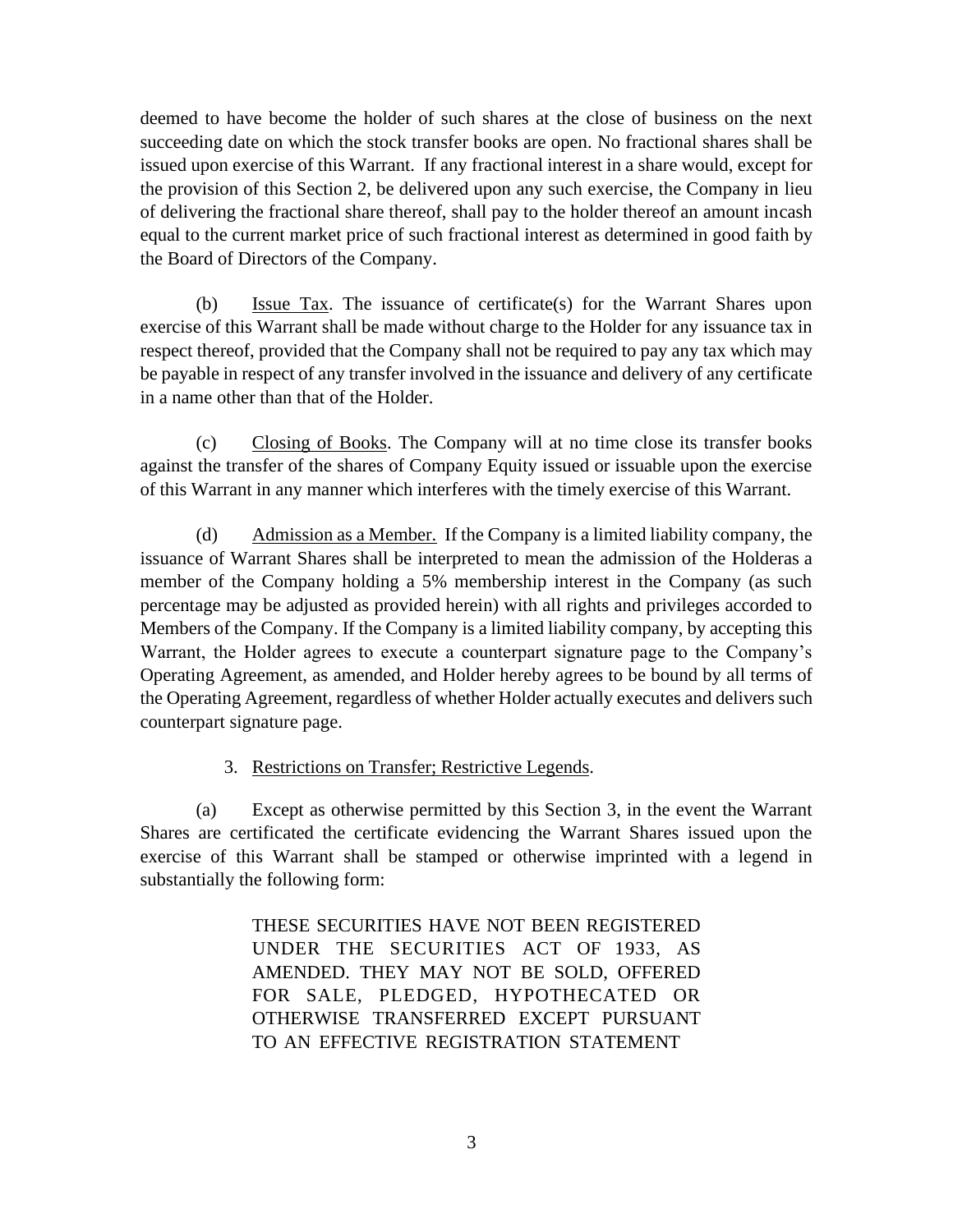deemed to have become the holder of such shares at the close of business on the next succeeding date on which the stock transfer books are open. No fractional shares shall be issued upon exercise of this Warrant. If any fractional interest in a share would, except for the provision of this Section 2, be delivered upon any such exercise, the Company in lieu of delivering the fractional share thereof, shall pay to the holder thereof an amount incash equal to the current market price of such fractional interest as determined in good faith by the Board of Directors of the Company.

(b) Issue Tax. The issuance of certificate(s) for the Warrant Shares upon exercise of this Warrant shall be made without charge to the Holder for any issuance tax in respect thereof, provided that the Company shall not be required to pay any tax which may be payable in respect of any transfer involved in the issuance and delivery of any certificate in a name other than that of the Holder.

(c) Closing of Books. The Company will at no time close its transfer books against the transfer of the shares of Company Equity issued or issuable upon the exercise of this Warrant in any manner which interferes with the timely exercise of this Warrant.

(d) Admission as a Member. If the Company is a limited liability company, the issuance of Warrant Shares shall be interpreted to mean the admission of the Holderas a member of the Company holding a 5% membership interest in the Company (as such percentage may be adjusted as provided herein) with all rights and privileges accorded to Members of the Company. If the Company is a limited liability company, by accepting this Warrant, the Holder agrees to execute a counterpart signature page to the Company's Operating Agreement, as amended, and Holder hereby agrees to be bound by all terms of the Operating Agreement, regardless of whether Holder actually executes and delivers such counterpart signature page.

## 3. Restrictions on Transfer; Restrictive Legends.

(a) Except as otherwise permitted by this Section 3, in the event the Warrant Shares are certificated the certificate evidencing the Warrant Shares issued upon the exercise of this Warrant shall be stamped or otherwise imprinted with a legend in substantially the following form:

> THESE SECURITIES HAVE NOT BEEN REGISTERED UNDER THE SECURITIES ACT OF 1933, AS AMENDED. THEY MAY NOT BE SOLD, OFFERED FOR SALE, PLEDGED, HYPOTHECATED OR OTHERWISE TRANSFERRED EXCEPT PURSUANT TO AN EFFECTIVE REGISTRATION STATEMENT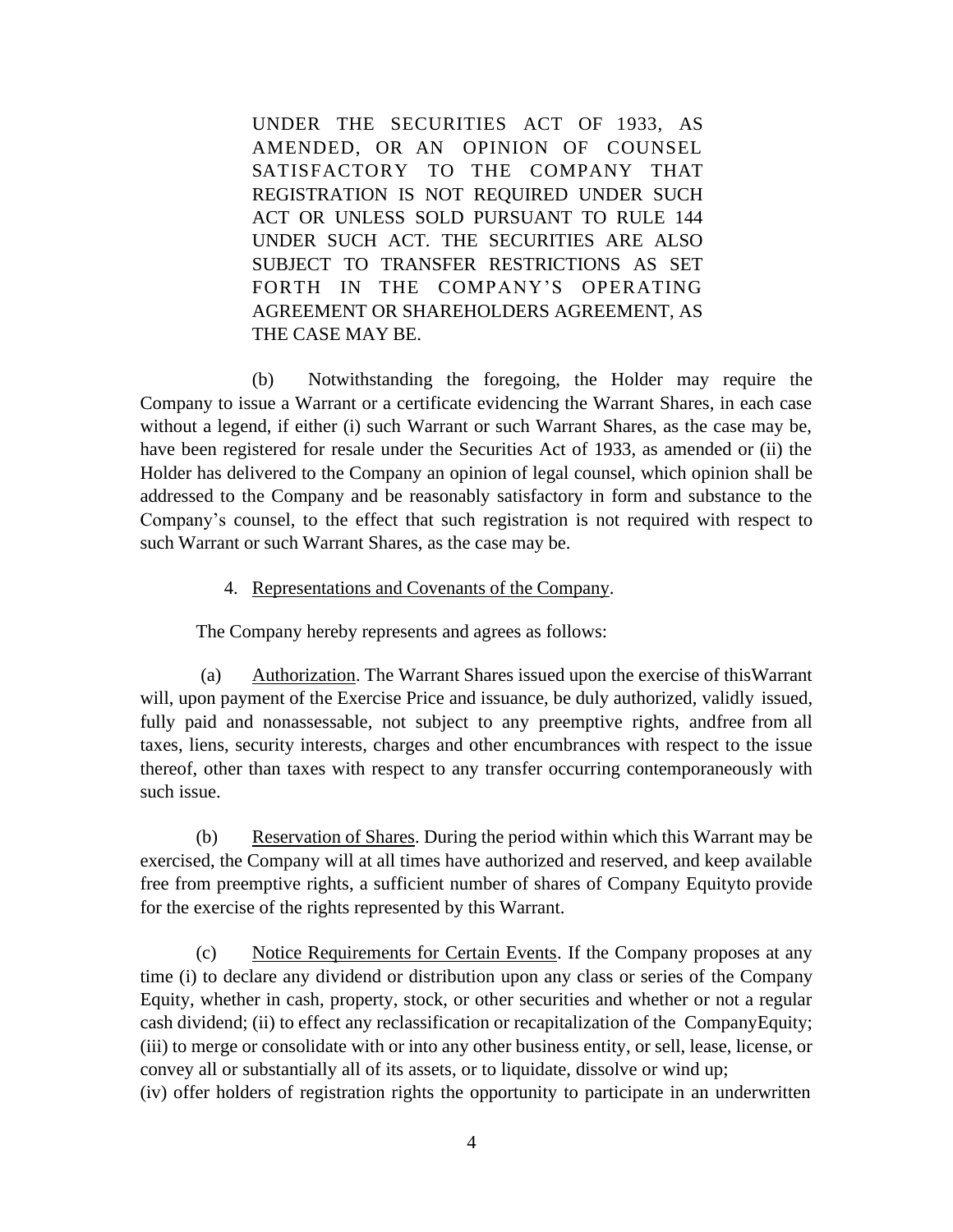UNDER THE SECURITIES ACT OF 1933, AS AMENDED, OR AN OPINION OF COUNSEL SATISFACTORY TO THE COMPANY THAT REGISTRATION IS NOT REQUIRED UNDER SUCH ACT OR UNLESS SOLD PURSUANT TO RULE 144 UNDER SUCH ACT. THE SECURITIES ARE ALSO SUBJECT TO TRANSFER RESTRICTIONS AS SET FORTH IN THE COMPANY'S OPERATING AGREEMENT OR SHAREHOLDERS AGREEMENT, AS THE CASE MAY BE.

(b) Notwithstanding the foregoing, the Holder may require the Company to issue a Warrant or a certificate evidencing the Warrant Shares, in each case without a legend, if either (i) such Warrant or such Warrant Shares, as the case may be, have been registered for resale under the Securities Act of 1933, as amended or (ii) the Holder has delivered to the Company an opinion of legal counsel, which opinion shall be addressed to the Company and be reasonably satisfactory in form and substance to the Company's counsel, to the effect that such registration is not required with respect to such Warrant or such Warrant Shares, as the case may be.

## 4. Representations and Covenants of the Company.

The Company hereby represents and agrees as follows:

(a) Authorization. The Warrant Shares issued upon the exercise of thisWarrant will, upon payment of the Exercise Price and issuance, be duly authorized, validly issued, fully paid and nonassessable, not subject to any preemptive rights, andfree from all taxes, liens, security interests, charges and other encumbrances with respect to the issue thereof, other than taxes with respect to any transfer occurring contemporaneously with such issue.

(b) Reservation of Shares. During the period within which this Warrant may be exercised, the Company will at all times have authorized and reserved, and keep available free from preemptive rights, a sufficient number of shares of Company Equityto provide for the exercise of the rights represented by this Warrant.

(c) Notice Requirements for Certain Events. If the Company proposes at any time (i) to declare any dividend or distribution upon any class or series of the Company Equity, whether in cash, property, stock, or other securities and whether or not a regular cash dividend; (ii) to effect any reclassification or recapitalization of the CompanyEquity; (iii) to merge or consolidate with or into any other business entity, or sell, lease, license, or convey all or substantially all of its assets, or to liquidate, dissolve or wind up;

(iv) offer holders of registration rights the opportunity to participate in an underwritten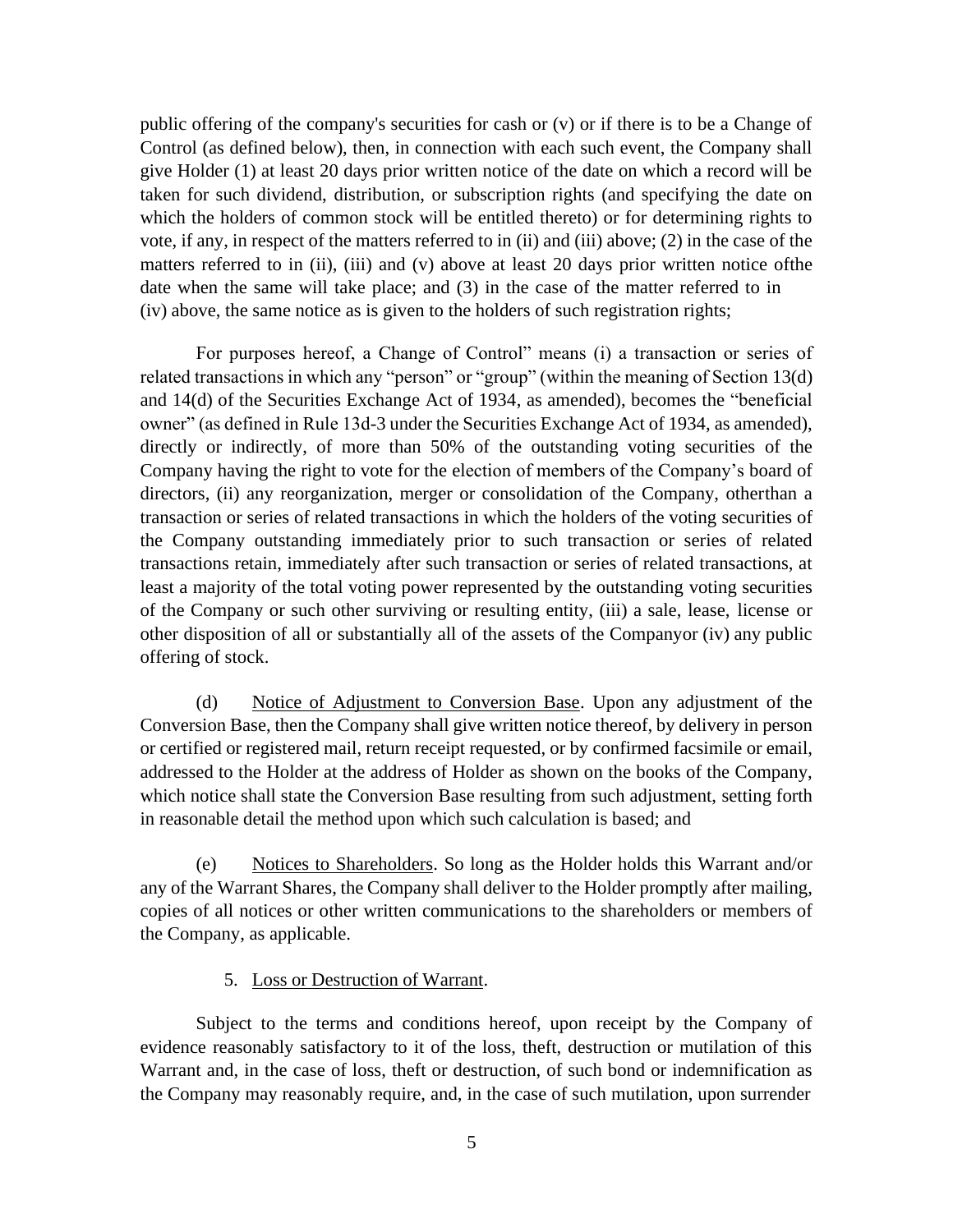public offering of the company's securities for cash or (v) or if there is to be a Change of Control (as defined below), then, in connection with each such event, the Company shall give Holder (1) at least 20 days prior written notice of the date on which a record will be taken for such dividend, distribution, or subscription rights (and specifying the date on which the holders of common stock will be entitled thereto) or for determining rights to vote, if any, in respect of the matters referred to in (ii) and (iii) above; (2) in the case of the matters referred to in (ii), (iii) and (v) above at least 20 days prior written notice of the date when the same will take place; and (3) in the case of the matter referred to in (iv) above, the same notice as is given to the holders of such registration rights;

For purposes hereof, a Change of Control" means (i) a transaction or series of related transactions in which any "person" or "group" (within the meaning of Section 13(d) and 14(d) of the Securities Exchange Act of 1934, as amended), becomes the "beneficial owner" (as defined in Rule 13d-3 under the Securities Exchange Act of 1934, as amended), directly or indirectly, of more than 50% of the outstanding voting securities of the Company having the right to vote for the election of members of the Company's board of directors, (ii) any reorganization, merger or consolidation of the Company, otherthan a transaction or series of related transactions in which the holders of the voting securities of the Company outstanding immediately prior to such transaction or series of related transactions retain, immediately after such transaction or series of related transactions, at least a majority of the total voting power represented by the outstanding voting securities of the Company or such other surviving or resulting entity, (iii) a sale, lease, license or other disposition of all or substantially all of the assets of the Companyor (iv) any public offering of stock.

(d) Notice of Adjustment to Conversion Base. Upon any adjustment of the Conversion Base, then the Company shall give written notice thereof, by delivery in person or certified or registered mail, return receipt requested, or by confirmed facsimile or email, addressed to the Holder at the address of Holder as shown on the books of the Company, which notice shall state the Conversion Base resulting from such adjustment, setting forth in reasonable detail the method upon which such calculation is based; and

(e) Notices to Shareholders. So long as the Holder holds this Warrant and/or any of the Warrant Shares, the Company shall deliver to the Holder promptly after mailing, copies of all notices or other written communications to the shareholders or members of the Company, as applicable.

## 5. Loss or Destruction of Warrant.

Subject to the terms and conditions hereof, upon receipt by the Company of evidence reasonably satisfactory to it of the loss, theft, destruction or mutilation of this Warrant and, in the case of loss, theft or destruction, of such bond or indemnification as the Company may reasonably require, and, in the case of such mutilation, upon surrender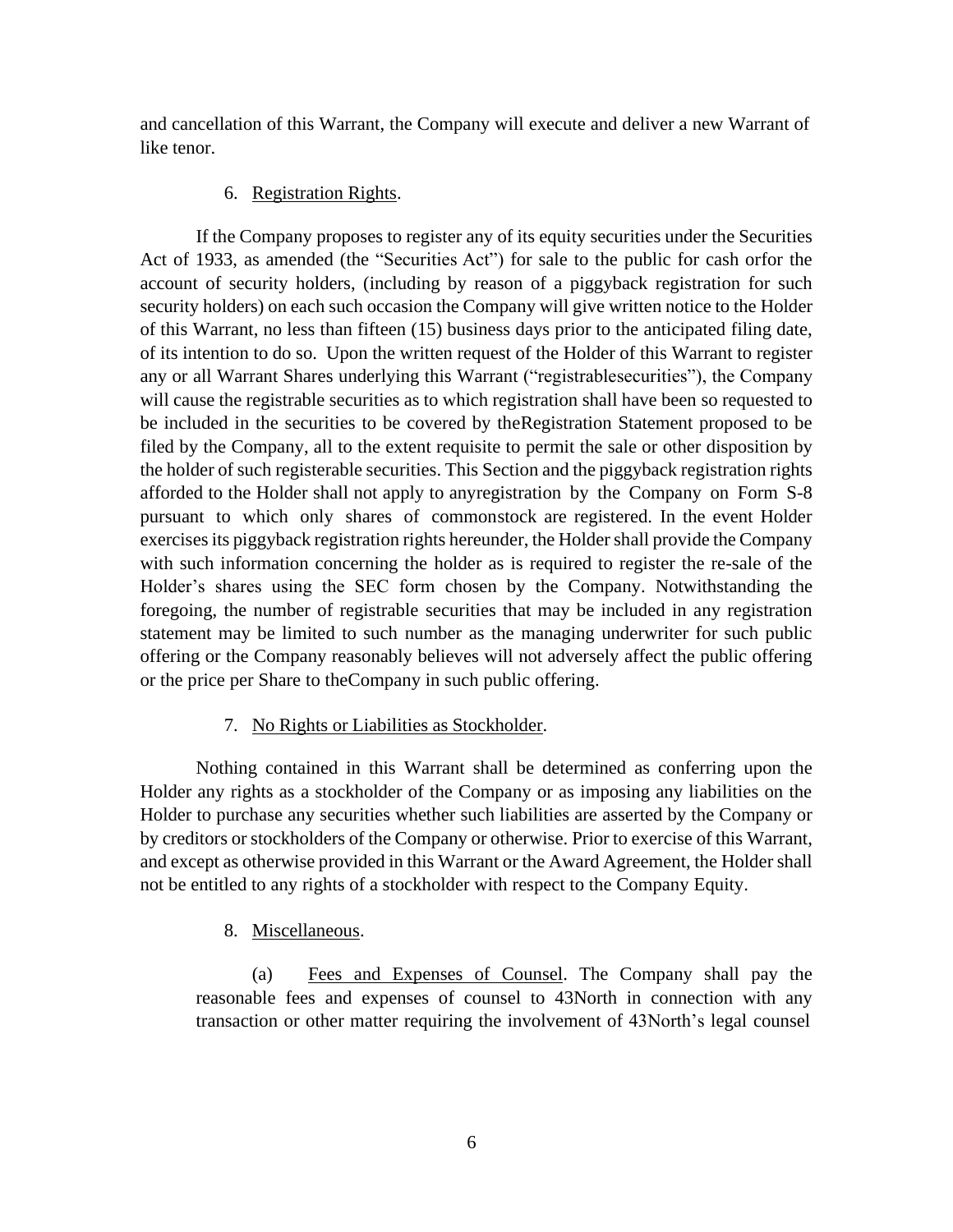and cancellation of this Warrant, the Company will execute and deliver a new Warrant of like tenor.

## 6. Registration Rights.

If the Company proposes to register any of its equity securities under the Securities Act of 1933, as amended (the "Securities Act") for sale to the public for cash orfor the account of security holders, (including by reason of a piggyback registration for such security holders) on each such occasion the Company will give written notice to the Holder of this Warrant, no less than fifteen (15) business days prior to the anticipated filing date, of its intention to do so. Upon the written request of the Holder of this Warrant to register any or all Warrant Shares underlying this Warrant ("registrablesecurities"), the Company will cause the registrable securities as to which registration shall have been so requested to be included in the securities to be covered by theRegistration Statement proposed to be filed by the Company, all to the extent requisite to permit the sale or other disposition by the holder of such registerable securities. This Section and the piggyback registration rights afforded to the Holder shall not apply to anyregistration by the Company on Form S-8 pursuant to which only shares of commonstock are registered. In the event Holder exercises its piggyback registration rights hereunder, the Holder shall provide the Company with such information concerning the holder as is required to register the re-sale of the Holder's shares using the SEC form chosen by the Company. Notwithstanding the foregoing, the number of registrable securities that may be included in any registration statement may be limited to such number as the managing underwriter for such public offering or the Company reasonably believes will not adversely affect the public offering or the price per Share to theCompany in such public offering.

## 7. No Rights or Liabilities as Stockholder.

Nothing contained in this Warrant shall be determined as conferring upon the Holder any rights as a stockholder of the Company or as imposing any liabilities on the Holder to purchase any securities whether such liabilities are asserted by the Company or by creditors or stockholders of the Company or otherwise. Prior to exercise of this Warrant, and except as otherwise provided in this Warrant or the Award Agreement, the Holder shall not be entitled to any rights of a stockholder with respect to the Company Equity.

## 8. Miscellaneous.

(a) Fees and Expenses of Counsel. The Company shall pay the reasonable fees and expenses of counsel to 43North in connection with any transaction or other matter requiring the involvement of 43North's legal counsel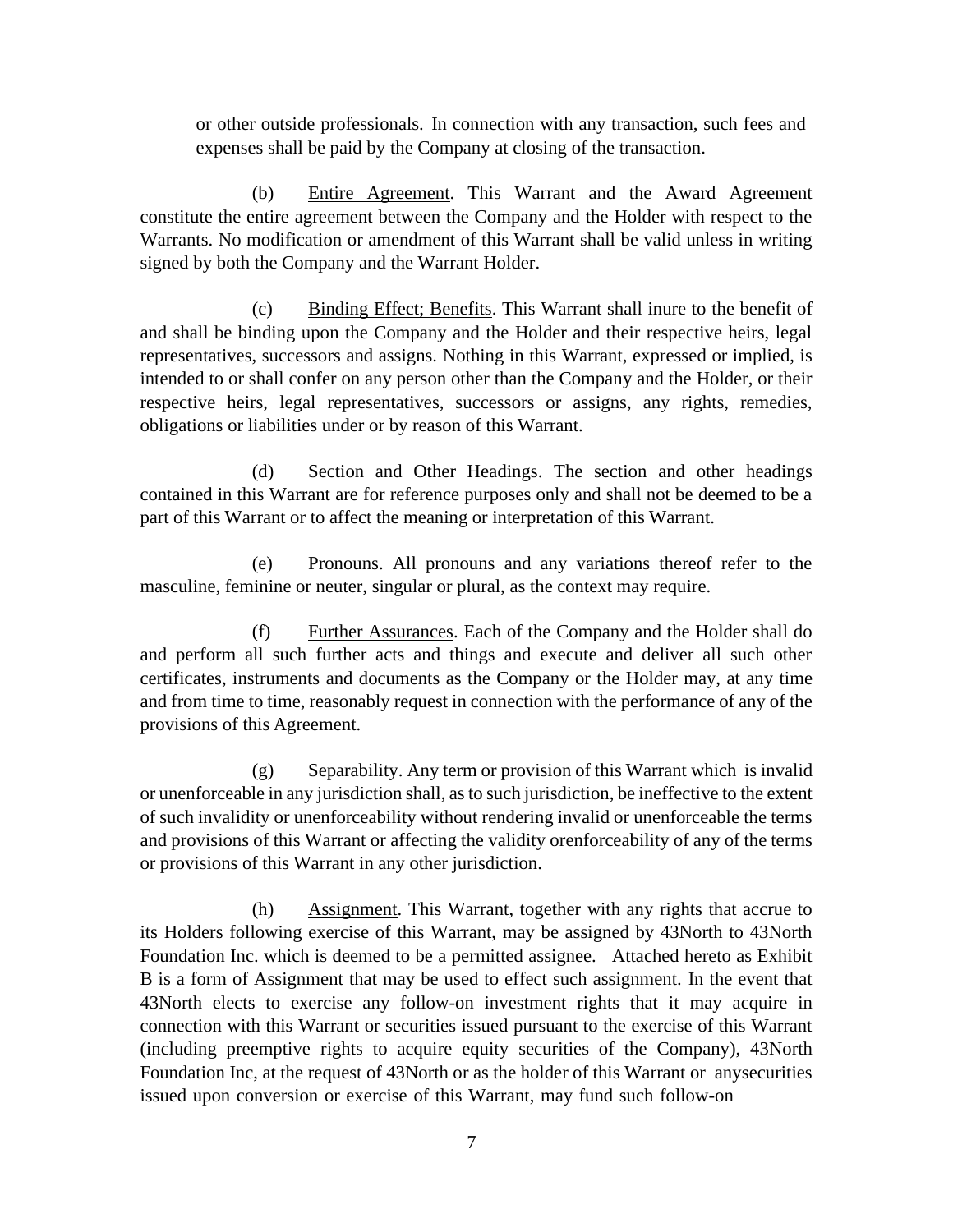or other outside professionals. In connection with any transaction, such fees and expenses shall be paid by the Company at closing of the transaction.

(b) Entire Agreement. This Warrant and the Award Agreement constitute the entire agreement between the Company and the Holder with respect to the Warrants. No modification or amendment of this Warrant shall be valid unless in writing signed by both the Company and the Warrant Holder.

(c) Binding Effect; Benefits. This Warrant shall inure to the benefit of and shall be binding upon the Company and the Holder and their respective heirs, legal representatives, successors and assigns. Nothing in this Warrant, expressed or implied, is intended to or shall confer on any person other than the Company and the Holder, or their respective heirs, legal representatives, successors or assigns, any rights, remedies, obligations or liabilities under or by reason of this Warrant.

(d) Section and Other Headings. The section and other headings contained in this Warrant are for reference purposes only and shall not be deemed to be a part of this Warrant or to affect the meaning or interpretation of this Warrant.

(e) Pronouns. All pronouns and any variations thereof refer to the masculine, feminine or neuter, singular or plural, as the context may require.

(f) Further Assurances. Each of the Company and the Holder shall do and perform all such further acts and things and execute and deliver all such other certificates, instruments and documents as the Company or the Holder may, at any time and from time to time, reasonably request in connection with the performance of any of the provisions of this Agreement.

(g) Separability. Any term or provision of this Warrant which is invalid or unenforceable in any jurisdiction shall, as to such jurisdiction, be ineffective to the extent of such invalidity or unenforceability without rendering invalid or unenforceable the terms and provisions of this Warrant or affecting the validity orenforceability of any of the terms or provisions of this Warrant in any other jurisdiction.

(h) Assignment. This Warrant, together with any rights that accrue to its Holders following exercise of this Warrant, may be assigned by 43North to 43North Foundation Inc. which is deemed to be a permitted assignee. Attached hereto as Exhibit B is a form of Assignment that may be used to effect such assignment. In the event that 43North elects to exercise any follow-on investment rights that it may acquire in connection with this Warrant or securities issued pursuant to the exercise of this Warrant (including preemptive rights to acquire equity securities of the Company), 43North Foundation Inc, at the request of 43North or as the holder of this Warrant or anysecurities issued upon conversion or exercise of this Warrant, may fund such follow-on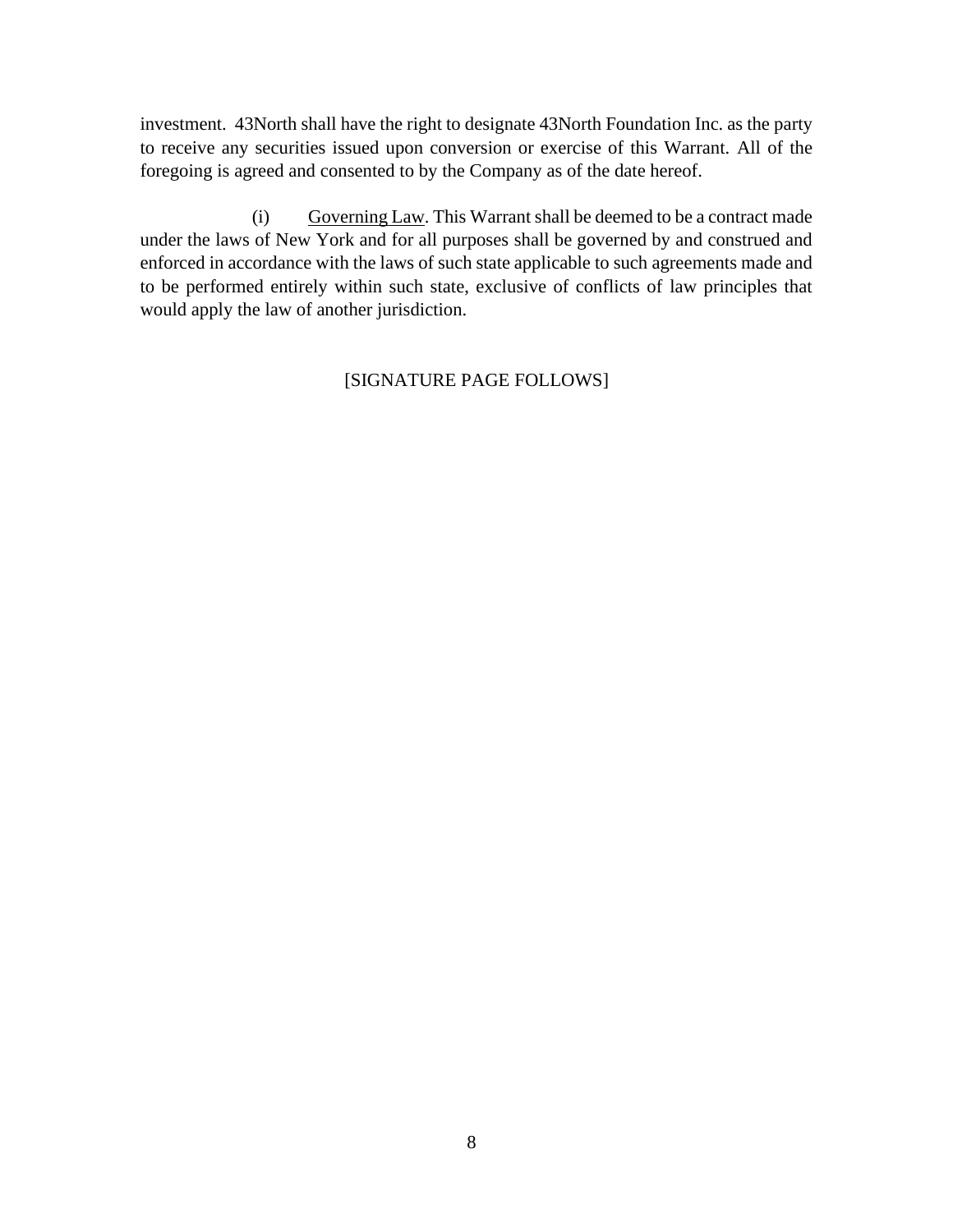investment. 43North shall have the right to designate 43North Foundation Inc. as the party to receive any securities issued upon conversion or exercise of this Warrant. All of the foregoing is agreed and consented to by the Company as of the date hereof.

(i) Governing Law. This Warrant shall be deemed to be a contract made under the laws of New York and for all purposes shall be governed by and construed and enforced in accordance with the laws of such state applicable to such agreements made and to be performed entirely within such state, exclusive of conflicts of law principles that would apply the law of another jurisdiction.

## [SIGNATURE PAGE FOLLOWS]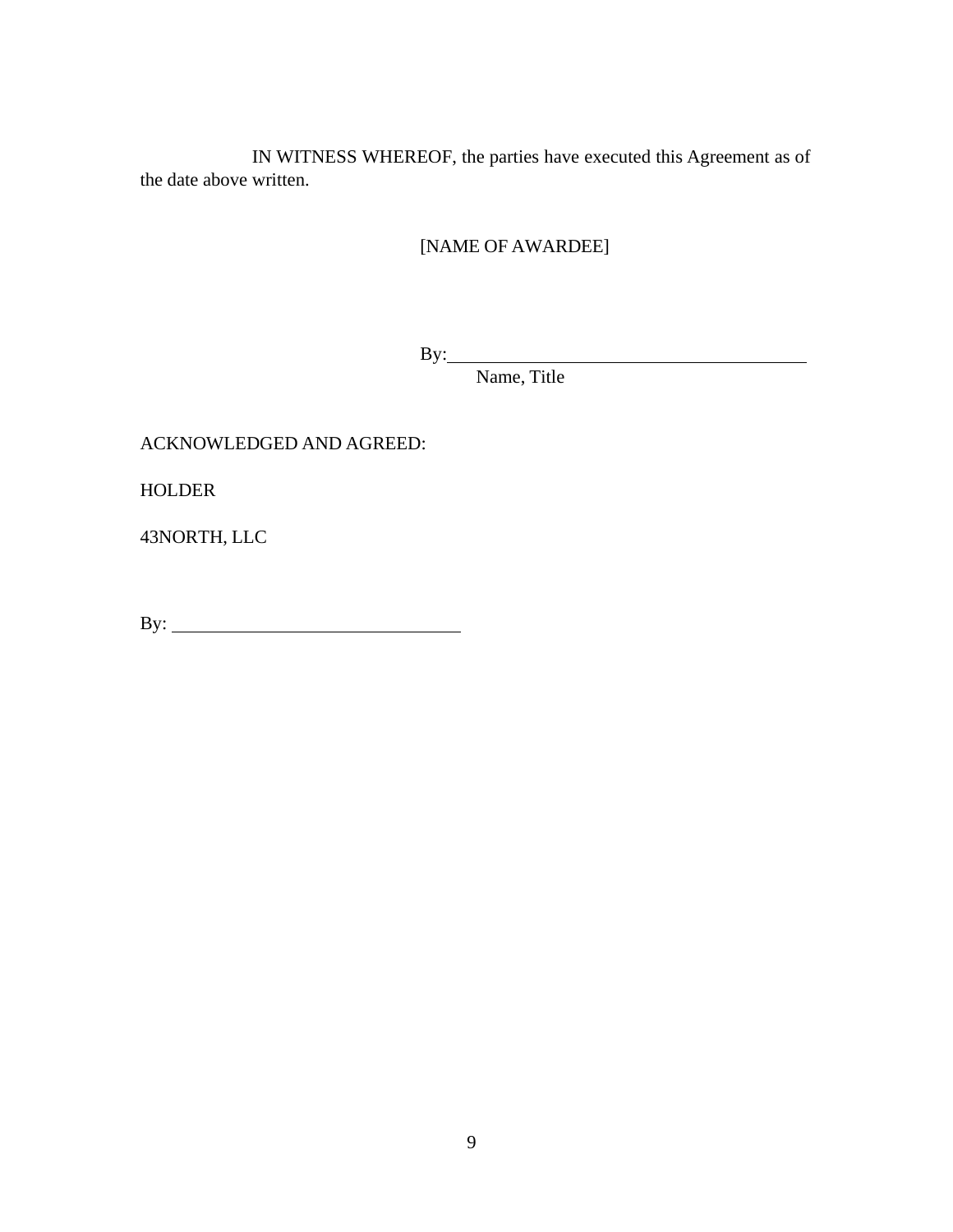IN WITNESS WHEREOF, the parties have executed this Agreement as of the date above written.

[NAME OF AWARDEE]

By:

Name, Title

# ACKNOWLEDGED AND AGREED:

HOLDER

43NORTH, LLC

By: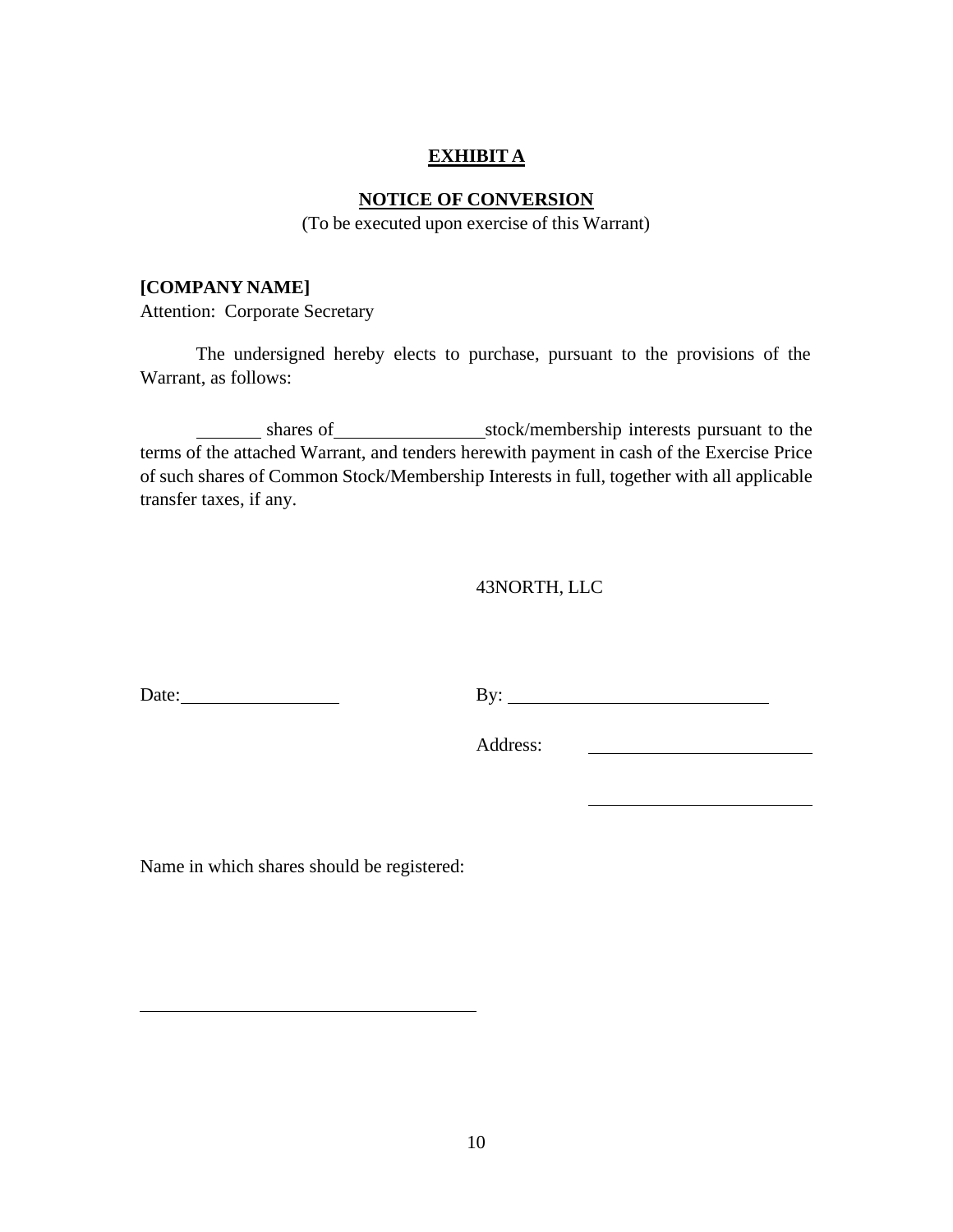## **EXHIBIT A**

## **NOTICE OF CONVERSION**

(To be executed upon exercise of this Warrant)

#### **[COMPANY NAME]**

Attention: Corporate Secretary

The undersigned hereby elects to purchase, pursuant to the provisions of the Warrant, as follows:

shares of stock/membership interests pursuant to the terms of the attached Warrant, and tenders herewith payment in cash of the Exercise Price of such shares of Common Stock/Membership Interests in full, together with all applicable transfer taxes, if any.

#### 43NORTH, LLC

Date: <u>By: By:</u>

Address:

Name in which shares should be registered: